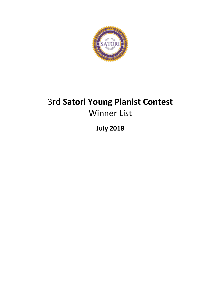

# 3rd **Satori Young Pianist Contest** Winner List

**July 2018**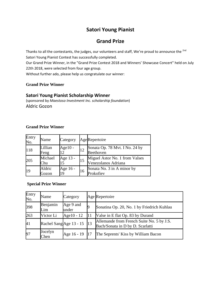## **Satori Young Pianist**

## **Grand Prize**

Thanks to all the contestants, the judges, our volunteers and staff, We're proud to announce the <sup>2nd</sup> Satori Young Pianist Contest has successfully completed. Our Grand Prize Winner, in the "Grand Prize Contest 2018 and Winners' Showcase Concert" held on July 22th 2018, were selected from four age group. Without further ado, please help us congratulate our winner:

#### **Grand Prize Winner**

#### **Satori Young Pianist Scholarship Winner**

(sponsored by *Maestoso Investment Inc. scholarship foundation*) Aldric Gozon

#### **Grand Prize Winner**

| Entry<br>No. | Name            | Category         |    | AgeRepertoire                                         |
|--------------|-----------------|------------------|----|-------------------------------------------------------|
| 118          | Lillian<br>Feng | Age $10 -$<br>12 | 12 | Sonata Op. 78 Mvt. I No. 24 by<br>Beethoven           |
| 205          | Michael<br>Chu  | Age 13 -<br>15   | 15 | Miguel Astor No. 1 from Valses<br>Venezolanos Adriana |
| 19           | Aldric<br>Gozon | Age 16 -<br>19   | 16 | Sonata No. 3 in A minor by<br>Prokofiev               |

#### **Special Prize Winner**

| Entry<br>No. | Name                    | Category           |            | Age Repertoire                                                                |
|--------------|-------------------------|--------------------|------------|-------------------------------------------------------------------------------|
| 398          | Benjamin<br>Lim         | Age 9 and<br>under |            | Sonatina Op. 20, No. 1 by Friedrich Kuhlau                                    |
| 263          | Victor Li               | Age10 - 12         | 11         | Valse in E flat Op. 83 by Durand                                              |
| 41           | Rachel Sang Age 13 - 15 |                    | $\vert$ 13 | Allemande from French Suite No. 5 by J.S.<br>Bach/Sonata in D by D. Scarlatti |
| 97           | Jocelyn<br>Chen         | Age 16 - 19        |            | The Seprents' Kiss by William Bacon                                           |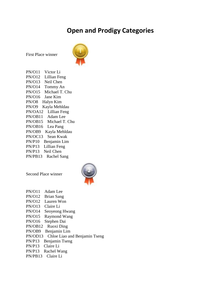# **Open and Prodigy Categories**



First Place winner

PN/O11 Victor Li PN/O12 Lillian Feng PN/O13 Neil Chen PN/O14 Tommy An PN/O15 Michael T. Chu PN/O16 Jane Kim PN/O8 Halyn Kim PN/O9 Kayla Mehldau PN/OA12 Lillian Feng PN/OB11 Adam Lee PN/OB15 Michael T. Chu PN/OB16 Lea Pang PN/OB9 Kayla Mehldau PN/OC13 Sean Kwak PN/P10 Benjamin Lim PN/P13 Lillian Feng PN/P13 Neil Chen PN/PB13 Rachel Sang

Second Place winner



PN/O11 Adam Lee PN/O12 Brian Sang PN/O12 Lauren Won PN/O13 Claire Li PN/O14 Seoyeong Hwang PN/O15 Raymond Wang PN/O16 Stephen Dai PN/OB12 Ruoxi Ding PN/OB9 Benjamin Lim PN/OD13 Chloe Liao and Benjamin Tseng PN/P13 Benjamin Tseng PN/P13 Claire Li PN/P13 Rachel Wang PN/PB13 Claire Li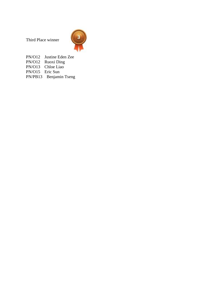Third Place winner



PN/O12 Justine Eden Zee PN/O12 Ruoxi Ding PN/O13 Chloe Liao PN/O15 Eric Sun PN/PB13 Benjamin Tseng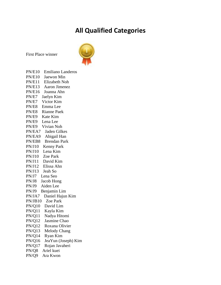## **All Qualified Categories**



First Place winner

PN/E10 Emiliano Landeros PN/E10 Jaewon Min PN/E11 Elizabeth Noh PN/E13 Aaron Jimenez PN/E16 Joanna Ahn PN/E7 Jaelyn Kim PN/E7 Victor Kim PN/E8 Emma Lee PN/E8 Rianne Paek PN/E9 Kate Kim PN/E9 Lena Lee PN/E9 Vivian Noh PN/EA7 Jaden Gilkes PN/EA9 Abigail Han PN/EB8 Brendan Park PN/J10 Kenny Park PN/J10 Lena Kim PN/J10 Zoe Park PN/J11 David Kim PN/J12 Elissa Ahn PN/J13 Jeah So PN/J7 Lena Seo PN/J8 Jacob Hong PN/J9 Aiden Lee PN/J9 Benjamin Lim PN/JA7 Daniel Hajun Kim PN/JB10 Zoe Park PN/Q10 David Lim PN/Q11 Kayla Kim PN/Q11 Nadya Hitomi PN/Q12 Jasmine Chao PN/Q12 Roxana Olivier PN/Q13 Melody Chang PN/Q14 Ryan Kim PN/Q16 JeaYun (Joseph) Kim PN/Q17 Rojan Javaheri PN/Q8 Ariel kuei PN/Q9 Ara Kwon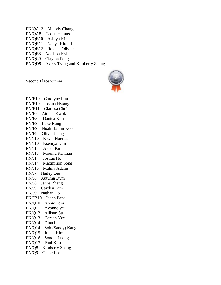PN/QA13 Melody Chang PN/QA8 Caden Hemus PN/QB10 Ashlyn Kim PN/QB11 Nadya Hitomi PN/QB12 Roxana Olivier PN/QB8 Addison Kyle PN/QC9 Clayton Fong PN/QD9 Avery Tseng and Kimberly Zhang

Second Place winner



PN/E10 Carolyne Lim PN/E10 Joshua Hwang PN/E11 Clarissa Choi PN/E7 Atticus Kwok PN/E8 Danica Kim PN/E9 Luke Kang PN/E9 Noah Hamin Koo PN/E9 Olivia Jeong PN/J10 Erwin Huertas PN/J10 Kseniya Kim PN/J11 Aiden Kim PN/J13 Mounia Rahman PN/J14 Joshua Ho PN/J14 Maxmilion Song PN/J15 Malina Adams PN/J7 Hailey Lee PN/J8 Autumn Dym PN/J8 Jenna Zheng PN/J9 Cayden Kim PN/J9 Nathan Ho PN/JB10 Jaden Park PN/Q10 Annie Lam PN/Q11 Yvonne Wu PN/Q12 Allison Su PN/Q13 Carson Yee PN/Q14 Gina Lee PN/Q14 Soh (Sandy) Kang PN/Q15 Junah Kim PN/Q16 Sondia Luong PN/Q17 Paul Kim PN/Q8 Kimberly Zhang PN/Q9 Chloe Lee